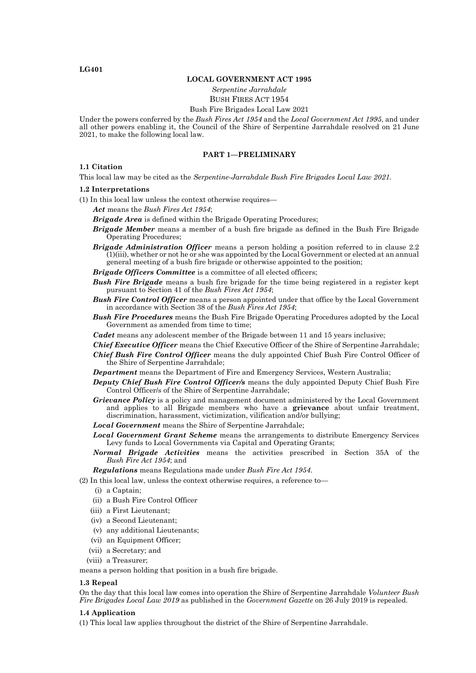### **LG401**

#### **LOCAL GOVERNMENT ACT 1995**

*Serpentine Jarrahdale* BUSH FIRES ACT 1954

### Bush Fire Brigades Local Law 2021

Under the powers conferred by the *Bush Fires Act 1954* and the *Local Government Act 1995*, and under all other powers enabling it, the Council of the Shire of Serpentine Jarrahdale resolved on 21 June 2021, to make the following local law.

### **PART 1—PRELIMINARY**

#### **1.1 Citation**

This local law may be cited as the *Serpentine-Jarrahdale Bush Fire Brigades Local Law 2021.*

#### **1.2 Interpretations**

(1) In this local law unless the context otherwise requires—

*Act* means the *Bush Fires Act 1954*;

*Brigade Area* is defined within the Brigade Operating Procedures;

- *Brigade Member* means a member of a bush fire brigade as defined in the Bush Fire Brigade Operating Procedures;
- *Brigade Administration Officer* means a person holding a position referred to in clause 2.2 (1)(iii), whether or not he or she was appointed by the Local Government or elected at an annual general meeting of a bush fire brigade or otherwise appointed to the position;
- *Brigade Officers Committee* is a committee of all elected officers;
- *Bush Fire Brigade* means a bush fire brigade for the time being registered in a register kept pursuant to Section 41 of the *Bush Fires Act 1954*;
- *Bush Fire Control Officer* means a person appointed under that office by the Local Government in accordance with Section 38 of the *Bush Fires Act 1954*;
- *Bush Fire Procedures* means the Bush Fire Brigade Operating Procedures adopted by the Local Government as amended from time to time;
- *Cadet* means any adolescent member of the Brigade between 11 and 15 years inclusive;
- *Chief Executive Officer* means the Chief Executive Officer of the Shire of Serpentine Jarrahdale; *Chief Bush Fire Control Officer* means the duly appointed Chief Bush Fire Control Officer of the Shire of Serpentine Jarrahdale;
- *Department* means the Department of Fire and Emergency Services, Western Australia;
- *Deputy Chief Bush Fire Control Officer/s* means the duly appointed Deputy Chief Bush Fire Control Officer/s of the Shire of Serpentine Jarrahdale;
- *Grievance Policy* is a policy and management document administered by the Local Government and applies to all Brigade members who have a **grievance** about unfair treatment, discrimination, harassment, victimization, vilification and/or bullying;
- *Local Government* means the Shire of Serpentine Jarrahdale;
- Levy funds to Local Governments via Capital and Operating Grants;
- *Normal Brigade Activities* means the activities prescribed in Section 35A of the *Bush Fire Act 1954*; and

*Regulations* means Regulations made under *Bush Fire Act 1954*.

(2) In this local law, unless the context otherwise requires, a reference to—

- (i) a Captain;
- (ii) a Bush Fire Control Officer
- (iii) a First Lieutenant;
- (iv) a Second Lieutenant;
- (v) any additional Lieutenants;
- (vi) an Equipment Officer;
- (vii) a Secretary; and
- (viii) a Treasurer;

means a person holding that position in a bush fire brigade.

#### **1.3 Repeal**

On the day that this local law comes into operation the Shire of Serpentine Jarrahdale *Volunteer Bush Fire Brigades Local Law 2019* as published in the *Government Gazette* on 26 July 2019 is repealed.

#### **1.4 Application**

(1) This local law applies throughout the district of the Shire of Serpentine Jarrahdale.

*Local Government Grant Scheme* means the arrangements to distribute Emergency Services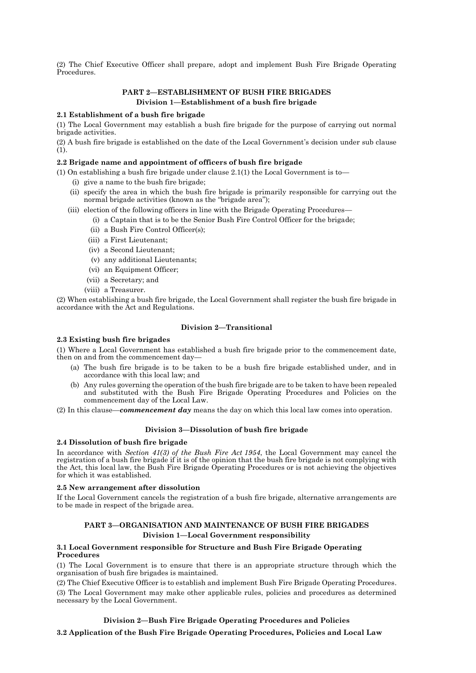(2) The Chief Executive Officer shall prepare, adopt and implement Bush Fire Brigade Operating Procedures.

# **PART 2—ESTABLISHMENT OF BUSH FIRE BRIGADES Division 1—Establishment of a bush fire brigade**

## **2.1 Establishment of a bush fire brigade**

(1) The Local Government may establish a bush fire brigade for the purpose of carrying out normal brigade activities.

(2) A bush fire brigade is established on the date of the Local Government's decision under sub clause (1).

### **2.2 Brigade name and appointment of officers of bush fire brigade**

(1) On establishing a bush fire brigade under clause  $2.1(1)$  the Local Government is to

- (i) give a name to the bush fire brigade;
- (ii) specify the area in which the bush fire brigade is primarily responsible for carrying out the normal brigade activities (known as the "brigade area");
- (iii) election of the following officers in line with the Brigade Operating Procedures—
	- (i) a Captain that is to be the Senior Bush Fire Control Officer for the brigade;
	- (ii) a Bush Fire Control Officer(s);
	- (iii) a First Lieutenant;
	- (iv) a Second Lieutenant;
	- (v) any additional Lieutenants;
	- (vi) an Equipment Officer;
	- (vii) a Secretary; and
	- (viii) a Treasurer.

(2) When establishing a bush fire brigade, the Local Government shall register the bush fire brigade in accordance with the Act and Regulations.

### **Division 2—Transitional**

### **2.3 Existing bush fire brigades**

(1) Where a Local Government has established a bush fire brigade prior to the commencement date, then on and from the commencement day—

- (a) The bush fire brigade is to be taken to be a bush fire brigade established under, and in accordance with this local law; and
- (b) Any rules governing the operation of the bush fire brigade are to be taken to have been repealed and substituted with the Bush Fire Brigade Operating Procedures and Policies on the commencement day of the Local Law.

(2) In this clause—*commencement day* means the day on which this local law comes into operation.

#### **Division 3—Dissolution of bush fire brigade**

## **2.4 Dissolution of bush fire brigade**

In accordance with *Section 41(3) of the Bush Fire Act 1954*, the Local Government may cancel the registration of a bush fire brigade if it is of the opinion that the bush fire brigade is not complying with the Act, this local law, the Bush Fire Brigade Operating Procedures or is not achieving the objectives for which it was established.

### **2.5 New arrangement after dissolution**

If the Local Government cancels the registration of a bush fire brigade, alternative arrangements are to be made in respect of the brigade area.

## **PART 3—ORGANISATION AND MAINTENANCE OF BUSH FIRE BRIGADES Division 1—Local Government responsibility**

## **3.1 Local Government responsible for Structure and Bush Fire Brigade Operating Procedures**

(1) The Local Government is to ensure that there is an appropriate structure through which the organisation of bush fire brigades is maintained.

(2) The Chief Executive Officer is to establish and implement Bush Fire Brigade Operating Procedures. (3) The Local Government may make other applicable rules, policies and procedures as determined necessary by the Local Government.

## **Division 2—Bush Fire Brigade Operating Procedures and Policies**

**3.2 Application of the Bush Fire Brigade Operating Procedures, Policies and Local Law**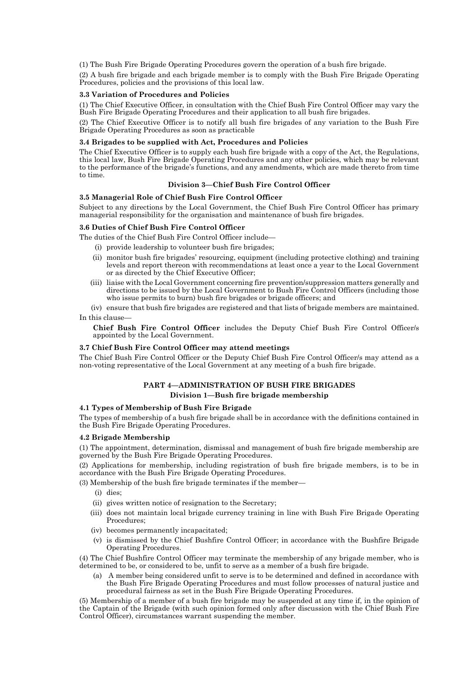(1) The Bush Fire Brigade Operating Procedures govern the operation of a bush fire brigade.

(2) A bush fire brigade and each brigade member is to comply with the Bush Fire Brigade Operating Procedures, policies and the provisions of this local law.

## **3.3 Variation of Procedures and Policies**

(1) The Chief Executive Officer, in consultation with the Chief Bush Fire Control Officer may vary the Bush Fire Brigade Operating Procedures and their application to all bush fire brigades.

(2) The Chief Executive Officer is to notify all bush fire brigades of any variation to the Bush Fire Brigade Operating Procedures as soon as practicable

### **3.4 Brigades to be supplied with Act, Procedures and Policies**

The Chief Executive Officer is to supply each bush fire brigade with a copy of the Act, the Regulations, this local law, Bush Fire Brigade Operating Procedures and any other policies, which may be relevant to the performance of the brigade's functions, and any amendments, which are made thereto from time to time.

## **Division 3—Chief Bush Fire Control Officer**

## **3.5 Managerial Role of Chief Bush Fire Control Officer**

Subject to any directions by the Local Government, the Chief Bush Fire Control Officer has primary managerial responsibility for the organisation and maintenance of bush fire brigades.

## **3.6 Duties of Chief Bush Fire Control Officer**

The duties of the Chief Bush Fire Control Officer include—

- (i) provide leadership to volunteer bush fire brigades;
- (ii) monitor bush fire brigades' resourcing, equipment (including protective clothing) and training levels and report thereon with recommendations at least once a year to the Local Government or as directed by the Chief Executive Officer;
- (iii) liaise with the Local Government concerning fire prevention/suppression matters generally and directions to be issued by the Local Government to Bush Fire Control Officers (including those who issue permits to burn) bush fire brigades or brigade officers; and

(iv) ensure that bush fire brigades are registered and that lists of brigade members are maintained. In this clause—

**Chief Bush Fire Control Officer** includes the Deputy Chief Bush Fire Control Officer/s appointed by the Local Government.

## **3.7 Chief Bush Fire Control Officer may attend meetings**

The Chief Bush Fire Control Officer or the Deputy Chief Bush Fire Control Officer/s may attend as a non-voting representative of the Local Government at any meeting of a bush fire brigade.

## **PART 4—ADMINISTRATION OF BUSH FIRE BRIGADES**

## **Division 1—Bush fire brigade membership**

## **4.1 Types of Membership of Bush Fire Brigade**

The types of membership of a bush fire brigade shall be in accordance with the definitions contained in the Bush Fire Brigade Operating Procedures.

### **4.2 Brigade Membership**

(1) The appointment, determination, dismissal and management of bush fire brigade membership are governed by the Bush Fire Brigade Operating Procedures.

(2) Applications for membership, including registration of bush fire brigade members, is to be in accordance with the Bush Fire Brigade Operating Procedures.

(3) Membership of the bush fire brigade terminates if the member—

- (i) dies;
- (ii) gives written notice of resignation to the Secretary;
- (iii) does not maintain local brigade currency training in line with Bush Fire Brigade Operating Procedures;
- (iv) becomes permanently incapacitated;
- (v) is dismissed by the Chief Bushfire Control Officer; in accordance with the Bushfire Brigade Operating Procedures.

(4) The Chief Bushfire Control Officer may terminate the membership of any brigade member, who is determined to be, or considered to be, unfit to serve as a member of a bush fire brigade.

(a) A member being considered unfit to serve is to be determined and defined in accordance with the Bush Fire Brigade Operating Procedures and must follow processes of natural justice and procedural fairness as set in the Bush Fire Brigade Operating Procedures.

(5) Membership of a member of a bush fire brigade may be suspended at any time if, in the opinion of the Captain of the Brigade (with such opinion formed only after discussion with the Chief Bush Fire Control Officer), circumstances warrant suspending the member.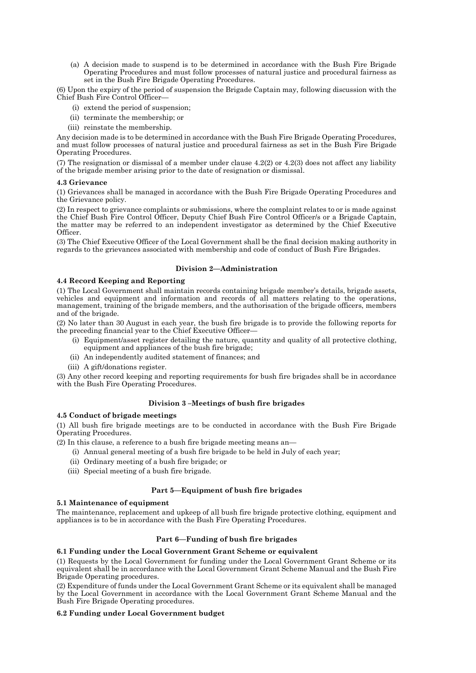(a) A decision made to suspend is to be determined in accordance with the Bush Fire Brigade Operating Procedures and must follow processes of natural justice and procedural fairness as set in the Bush Fire Brigade Operating Procedures.

(6) Upon the expiry of the period of suspension the Brigade Captain may, following discussion with the Chief Bush Fire Control Officer—

- (i) extend the period of suspension;
- (ii) terminate the membership; or
- (iii) reinstate the membership.

Any decision made is to be determined in accordance with the Bush Fire Brigade Operating Procedures, and must follow processes of natural justice and procedural fairness as set in the Bush Fire Brigade Operating Procedures.

(7) The resignation or dismissal of a member under clause 4.2(2) or 4.2(3) does not affect any liability of the brigade member arising prior to the date of resignation or dismissal.

#### **4.3 Grievance**

(1) Grievances shall be managed in accordance with the Bush Fire Brigade Operating Procedures and the Grievance policy.

(2) In respect to grievance complaints or submissions, where the complaint relates to or is made against the Chief Bush Fire Control Officer, Deputy Chief Bush Fire Control Officer/s or a Brigade Captain, the matter may be referred to an independent investigator as determined by the Chief Executive Officer.

(3) The Chief Executive Officer of the Local Government shall be the final decision making authority in regards to the grievances associated with membership and code of conduct of Bush Fire Brigades.

## **Division 2—Administration**

## **4.4 Record Keeping and Reporting**

(1) The Local Government shall maintain records containing brigade member's details, brigade assets, vehicles and equipment and information and records of all matters relating to the operations, management, training of the brigade members, and the authorisation of the brigade officers, members and of the brigade.

(2) No later than 30 August in each year, the bush fire brigade is to provide the following reports for the preceding financial year to the Chief Executive Officer—

- (i) Equipment/asset register detailing the nature, quantity and quality of all protective clothing, equipment and appliances of the bush fire brigade;
- (ii) An independently audited statement of finances; and
- (iii) A gift/donations register.

(3) Any other record keeping and reporting requirements for bush fire brigades shall be in accordance with the Bush Fire Operating Procedures.

## **Division 3 –Meetings of bush fire brigades**

# **4.5 Conduct of brigade meetings**

(1) All bush fire brigade meetings are to be conducted in accordance with the Bush Fire Brigade Operating Procedures.

- (2) In this clause, a reference to a bush fire brigade meeting means an—
	- (i) Annual general meeting of a bush fire brigade to be held in July of each year;
	- (ii) Ordinary meeting of a bush fire brigade; or
	- (iii) Special meeting of a bush fire brigade.

## **Part 5—Equipment of bush fire brigades**

## **5.1 Maintenance of equipment**

The maintenance, replacement and upkeep of all bush fire brigade protective clothing, equipment and appliances is to be in accordance with the Bush Fire Operating Procedures.

## **Part 6—Funding of bush fire brigades**

## **6.1 Funding under the Local Government Grant Scheme or equivalent**

(1) Requests by the Local Government for funding under the Local Government Grant Scheme or its equivalent shall be in accordance with the Local Government Grant Scheme Manual and the Bush Fire Brigade Operating procedures.

(2) Expenditure of funds under the Local Government Grant Scheme or its equivalent shall be managed by the Local Government in accordance with the Local Government Grant Scheme Manual and the Bush Fire Brigade Operating procedures.

## **6.2 Funding under Local Government budget**